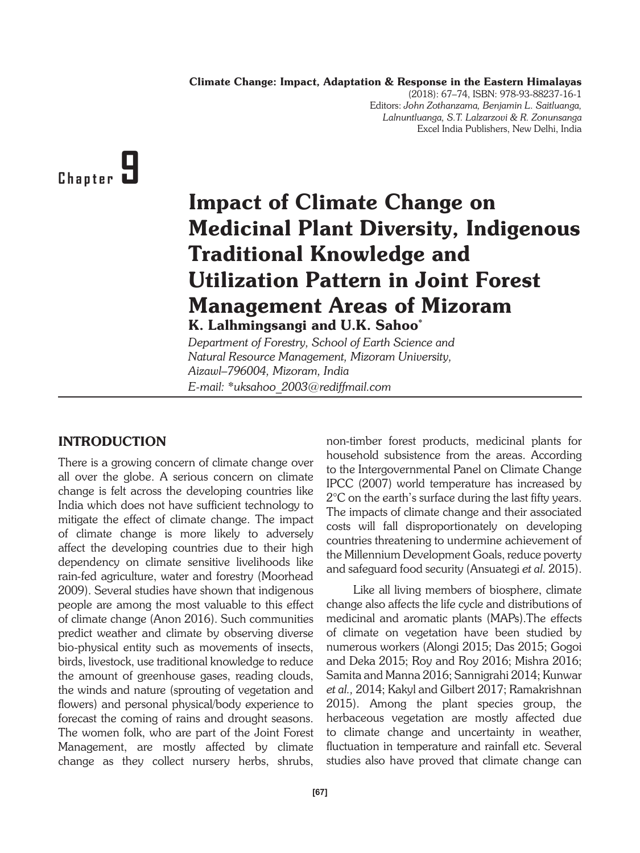Climate Change: Impact, Adaptation & Response in the Eastern Himalayas

(2018): 67–74, ISBN: 978-93-88237-16-1 Editors: *John Zothanzama, Benjamin L. Saitluanga, Lalnuntluanga, S.T. Lalzarzovi & R. Zonunsanga* Excel India Publishers, New Delhi, India

# **Chapter 9**

# Impact of Climate Change on Medicinal Plant Diversity, Indigenous Traditional Knowledge and Utilization Pattern in Joint Forest Management Areas of Mizoram K. Lalhmingsangi and U.K. Sahoo\*

*Department of Forestry, School of Earth Science and Natural Resource Management, Mizoram University, Aizawl–796004, Mizoram, India E-mail: \*uksahoo\_2003@rediffmail.com*

### INTRODUCTION

There is a growing concern of climate change over all over the globe. A serious concern on climate change is felt across the developing countries like India which does not have sufficient technology to mitigate the effect of climate change. The impact of climate change is more likely to adversely affect the developing countries due to their high dependency on climate sensitive livelihoods like rain-fed agriculture, water and forestry (Moorhead 2009). Several studies have shown that indigenous people are among the most valuable to this effect of climate change (Anon 2016). Such communities predict weather and climate by observing diverse bio-physical entity such as movements of insects, birds, livestock, use traditional knowledge to reduce the amount of greenhouse gases, reading clouds, the winds and nature (sprouting of vegetation and flowers) and personal physical/body experience to forecast the coming of rains and drought seasons. The women folk, who are part of the Joint Forest Management, are mostly affected by climate change as they collect nursery herbs, shrubs,

non-timber forest products, medicinal plants for household subsistence from the areas. According to the Intergovernmental Panel on Climate Change IPCC (2007) world temperature has increased by 2°C on the earth's surface during the last fifty years. The impacts of climate change and their associated costs will fall disproportionately on developing countries threatening to undermine achievement of the Millennium Development Goals, reduce poverty and safeguard food security (Ansuategi *et al.* 2015).

Like all living members of biosphere, climate change also affects the life cycle and distributions of medicinal and aromatic plants (MAPs).The effects of climate on vegetation have been studied by numerous workers (Alongi 2015; Das 2015; Gogoi and Deka 2015; Roy and Roy 2016; Mishra 2016; Samita and Manna 2016; Sannigrahi 2014; Kunwar *et al.,* 2014; Kakyl and Gilbert 2017; Ramakrishnan 2015). Among the plant species group, the herbaceous vegetation are mostly affected due to climate change and uncertainty in weather, fluctuation in temperature and rainfall etc. Several studies also have proved that climate change can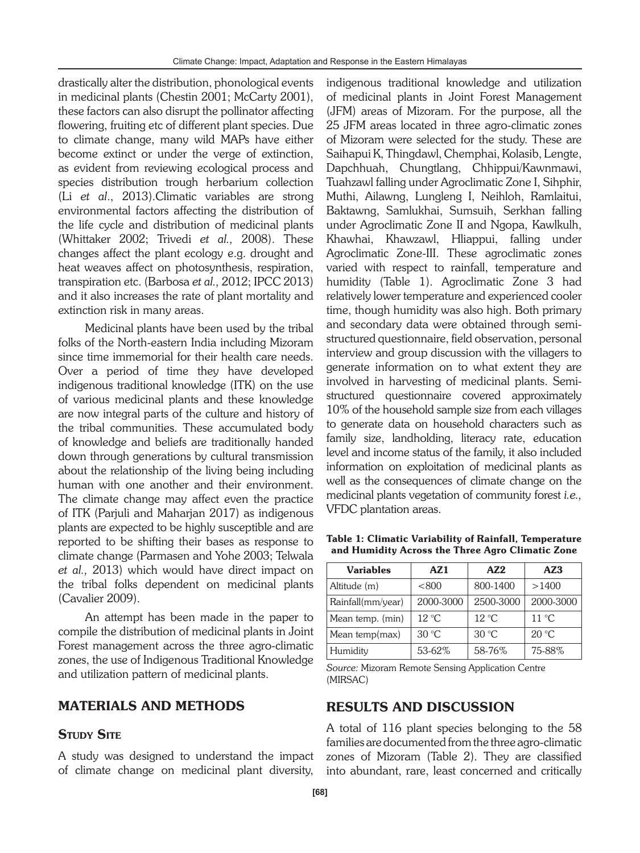drastically alter the distribution, phonological events in medicinal plants (Chestin 2001; McCarty 2001), these factors can also disrupt the pollinator affecting flowering, fruiting etc of different plant species. Due to climate change, many wild MAPs have either become extinct or under the verge of extinction, as evident from reviewing ecological process and species distribution trough herbarium collection (Li *et al*., 2013).Climatic variables are strong environmental factors affecting the distribution of the life cycle and distribution of medicinal plants (Whittaker 2002; Trivedi *et al.,* 2008). These changes affect the plant ecology e.g. drought and heat weaves affect on photosynthesis, respiration, transpiration etc. (Barbosa *et al.,* 2012; IPCC 2013) and it also increases the rate of plant mortality and extinction risk in many areas.

Medicinal plants have been used by the tribal folks of the North-eastern India including Mizoram since time immemorial for their health care needs. Over a period of time they have developed indigenous traditional knowledge (ITK) on the use of various medicinal plants and these knowledge are now integral parts of the culture and history of the tribal communities. These accumulated body of knowledge and beliefs are traditionally handed down through generations by cultural transmission about the relationship of the living being including human with one another and their environment. The climate change may affect even the practice of ITK (Parjuli and Maharjan 2017) as indigenous plants are expected to be highly susceptible and are reported to be shifting their bases as response to climate change (Parmasen and Yohe 2003; Telwala *et al.,* 2013) which would have direct impact on the tribal folks dependent on medicinal plants (Cavalier 2009).

An attempt has been made in the paper to compile the distribution of medicinal plants in Joint Forest management across the three agro-climatic zones, the use of Indigenous Traditional Knowledge and utilization pattern of medicinal plants.

#### MATERIALS AND METHODS

#### **STUDY SITE**

A study was designed to understand the impact of climate change on medicinal plant diversity,

indigenous traditional knowledge and utilization of medicinal plants in Joint Forest Management (JFM) areas of Mizoram. For the purpose, all the 25 JFM areas located in three agro-climatic zones of Mizoram were selected for the study. These are Saihapui K, Thingdawl, Chemphai, Kolasib, Lengte, Dapchhuah, Chungtlang, Chhippui/Kawnmawi, Tuahzawl falling under Agroclimatic Zone I, Sihphir, Muthi, Ailawng, Lungleng I, Neihloh, Ramlaitui, Baktawng, Samlukhai, Sumsuih, Serkhan falling under Agroclimatic Zone II and Ngopa, Kawlkulh, Khawhai, Khawzawl, Hliappui, falling under Agroclimatic Zone-III. These agroclimatic zones varied with respect to rainfall, temperature and humidity (Table 1). Agroclimatic Zone 3 had relatively lower temperature and experienced cooler time, though humidity was also high. Both primary and secondary data were obtained through semistructured questionnaire, field observation, personal interview and group discussion with the villagers to generate information on to what extent they are involved in harvesting of medicinal plants. Semistructured questionnaire covered approximately 10% of the household sample size from each villages to generate data on household characters such as family size, landholding, literacy rate, education level and income status of the family, it also included information on exploitation of medicinal plants as well as the consequences of climate change on the medicinal plants vegetation of community forest *i.e.,* VFDC plantation areas.

Table 1: Climatic Variability of Rainfall, Temperature and Humidity Across the Three Agro Climatic Zone

| <b>Variables</b>  | AZ1            | A72            | AZ3                     |
|-------------------|----------------|----------------|-------------------------|
| Altitude (m)      | < 800          | 800-1400       | >1400                   |
| Rainfall(mm/year) | 2000-3000      | 2500-3000      | 2000-3000               |
| Mean temp. (min)  | $12^{\circ}$ C | $12^{\circ}$ C | $11 \text{ }^{\circ}$ C |
| Mean temp(max)    | $30^{\circ}$ C | $30^{\circ}$ C | $20^{\circ}$ C          |
| Humidity          | 53-62%         | 58-76%         | 75-88%                  |

*Source:* Mizoram Remote Sensing Application Centre (MIRSAC)

#### RESULTS AND DISCUSSION

A total of 116 plant species belonging to the 58 families are documented from the three agro-climatic zones of Mizoram (Table 2). They are classified into abundant, rare, least concerned and critically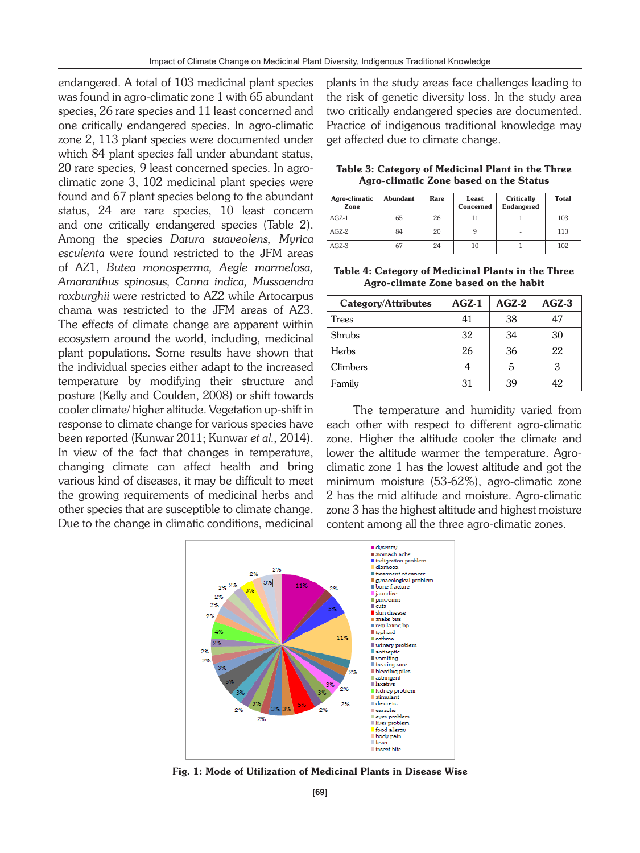endangered. A total of 103 medicinal plant species was found in agro-climatic zone 1 with 65 abundant species, 26 rare species and 11 least concerned and one critically endangered species. In agro-climatic zone 2, 113 plant species were documented under which 84 plant species fall under abundant status, 20 rare species, 9 least concerned species. In agroclimatic zone 3, 102 medicinal plant species were found and 67 plant species belong to the abundant status, 24 are rare species, 10 least concern and one critically endangered species (Table 2). Among the species *Datura suaveolens, Myrica esculenta* were found restricted to the JFM areas of AZ1, *Butea monosperma, Aegle marmelosa, Amaranthus spinosus, Canna indica, Mussaendra roxburghii* were restricted to AZ2 while Artocarpus chama was restricted to the JFM areas of AZ3. The effects of climate change are apparent within ecosystem around the world, including, medicinal plant populations. Some results have shown that the individual species either adapt to the increased temperature by modifying their structure and posture (Kelly and Coulden, 2008) or shift towards cooler climate/ higher altitude. Vegetation up-shift in response to climate change for various species have been reported (Kunwar 2011; Kunwar *et al.,* 2014). In view of the fact that changes in temperature, changing climate can affect health and bring various kind of diseases, it may be difficult to meet the growing requirements of medicinal herbs and other species that are susceptible to climate change. Due to the change in climatic conditions, medicinal

plants in the study areas face challenges leading to the risk of genetic diversity loss. In the study area two critically endangered species are documented. Practice of indigenous traditional knowledge may get affected due to climate change.

Table 3: Category of Medicinal Plant in the Three Agro-climatic Zone based on the Status

| Agro-climatic<br>Zone | <b>Abundant</b> | Rare | Least<br>Concerned | Critically<br><b>Endangered</b> | <b>Total</b> |
|-----------------------|-----------------|------|--------------------|---------------------------------|--------------|
| $AGZ-1$               | 65              | 26   |                    |                                 | 103          |
| $AGZ-2$               | 84              | 20   |                    | $\overline{\phantom{a}}$        | 113          |
| $AGZ-3$               | 67              | 24   | 10                 |                                 | 102          |

Table 4: Category of Medicinal Plants in the Three Agro-climate Zone based on the habit

| <b>Category/Attributes</b> | <b>AGZ-1</b> | $AGZ-2$ | $AGZ-3$ |
|----------------------------|--------------|---------|---------|
| Trees                      | 41           | 38      | 47      |
| Shrubs                     | 32           | 34      | 30      |
| <b>Herbs</b>               | 26           | 36      | 22      |
| Climbers                   |              | 5       | З       |
| Family                     | 31           | 39      | 42      |

The temperature and humidity varied from each other with respect to different agro-climatic zone. Higher the altitude cooler the climate and lower the altitude warmer the temperature. Agroclimatic zone 1 has the lowest altitude and got the minimum moisture (53-62%), agro-climatic zone 2 has the mid altitude and moisture. Agro-climatic zone 3 has the highest altitude and highest moisture content among all the three agro-climatic zones.



Fig. 1: Mode of Utilization of Medicinal Plants in Disease Wise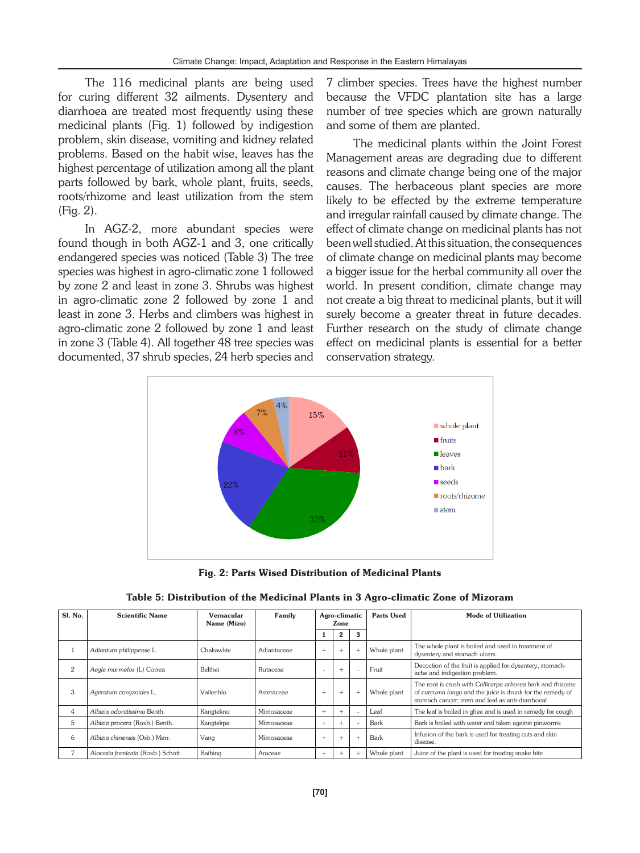The 116 medicinal plants are being used for curing different 32 ailments. Dysentery and diarrhoea are treated most frequently using these medicinal plants (Fig. 1) followed by indigestion problem, skin disease, vomiting and kidney related problems. Based on the habit wise, leaves has the highest percentage of utilization among all the plant parts followed by bark, whole plant, fruits, seeds, roots/rhizome and least utilization from the stem (Fig. 2).

In AGZ-2, more abundant species were found though in both AGZ-1 and 3, one critically endangered species was noticed (Table 3) The tree species was highest in agro-climatic zone 1 followed by zone 2 and least in zone 3. Shrubs was highest in agro-climatic zone 2 followed by zone 1 and least in zone 3. Herbs and climbers was highest in agro-climatic zone 2 followed by zone 1 and least in zone 3 (Table 4). All together 48 tree species was documented, 37 shrub species, 24 herb species and 7 climber species. Trees have the highest number because the VFDC plantation site has a large number of tree species which are grown naturally and some of them are planted.

The medicinal plants within the Joint Forest Management areas are degrading due to different reasons and climate change being one of the major causes. The herbaceous plant species are more likely to be effected by the extreme temperature and irregular rainfall caused by climate change. The effect of climate change on medicinal plants has not been well studied. At this situation, the consequences of climate change on medicinal plants may become a bigger issue for the herbal community all over the world. In present condition, climate change may not create a big threat to medicinal plants, but it will surely become a greater threat in future decades. Further research on the study of climate change effect on medicinal plants is essential for a better conservation strategy.



Fig. 2: Parts Wised Distribution of Medicinal Plants

| Sl. No.        | <b>Scientific Name</b>            | Vernacular<br>Name (Mizo) | Family      |        | Agro-climatic<br>Zone |  | <b>Parts Used</b> | Mode of Utilization                                                                                                                                                         |
|----------------|-----------------------------------|---------------------------|-------------|--------|-----------------------|--|-------------------|-----------------------------------------------------------------------------------------------------------------------------------------------------------------------------|
|                |                                   |                           |             |        | $\bf{2}$              |  |                   |                                                                                                                                                                             |
|                | Adiantum philippense L.           | Chakawkte                 | Adiantaceae | $^{+}$ | $^{+}$                |  | Whole plant       | The whole plant is boiled and used in treatment of<br>dysentery and stomach ulcers.                                                                                         |
| $\overline{2}$ | Aegle marmelos (L) Correa         | Belthei                   | Rutaceae    |        | $+$                   |  | Fruit             | Decoction of the fruit is applied for dysentery, stomach-<br>ache and indigestion problem.                                                                                  |
| 3              | Ageratum convzoides L.            | Vailenhlo                 | Asteraceae  | $+$    | $^{+}$                |  | Whole plant       | The root is crush with Callicarpa arborea bark and rhizome<br>of curcuma longa and the juice is drunk for the remedy of<br>stomach cancer; stem and leaf as anti-diarrhoeal |
| 4              | Albizia odoratissima Benth.       | Kangteknu                 | Mimosaceae  | $^{+}$ | $^{+}$                |  | Leaf              | The leaf is boiled in ghee and is used in remedy for cough                                                                                                                  |
| 5              | Albizia procera (Roxb.) Benth.    | Kangtekpa                 | Mimosaceae  | $+$    | $^{+}$                |  | Bark              | Bark is boiled with water and taken against pinworms                                                                                                                        |
| 6              | Albizia chinensis (Osb.) Merr.    | Vang                      | Mimosaceae  | $+$    | $^{+}$                |  | Bark              | Infusion of the bark is used for treating cuts and skin<br>disease.                                                                                                         |
|                | Alocasia fornicata (Roxb.) Schott | Baibing                   | Araceae     | $+$    | $^{+}$                |  | Whole plant       | Juice of the plant is used for treating snake bite                                                                                                                          |

Table 5: Distribution of the Medicinal Plants in 3 Agro-climatic Zone of Mizoram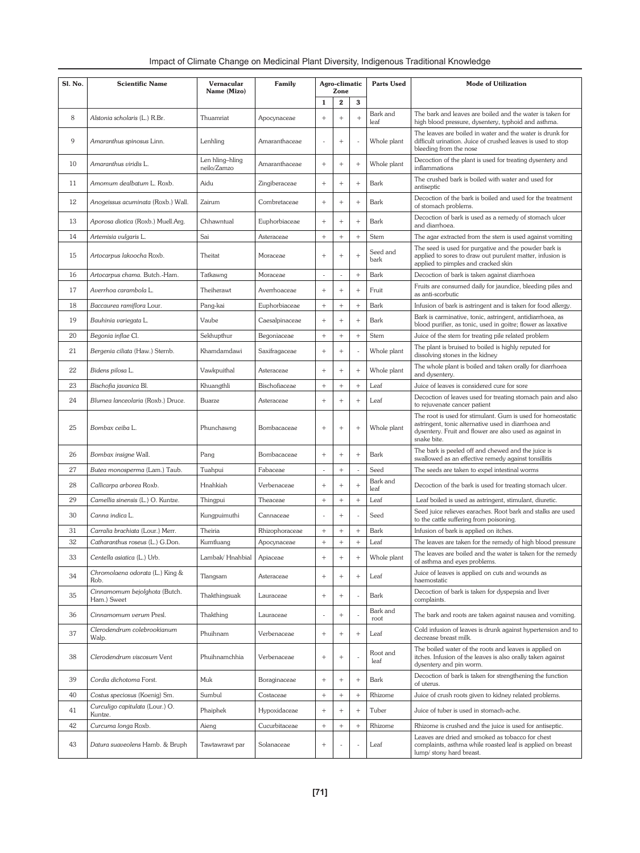| Impact of Climate Change on Medicinal Plant Diversity, Indigenous Traditional Knowledge |  |
|-----------------------------------------------------------------------------------------|--|
|                                                                                         |  |

| <b>Sl. No.</b> | <b>Scientific Name</b>                                         | Vernacular<br>Name (Mizo)      | Family         |                 | Agro-climatic<br>Zone |                | <b>Parts Used</b> | <b>Mode of Utilization</b>                                                                                                                                                                   |
|----------------|----------------------------------------------------------------|--------------------------------|----------------|-----------------|-----------------------|----------------|-------------------|----------------------------------------------------------------------------------------------------------------------------------------------------------------------------------------------|
|                |                                                                |                                |                | $\mathbf{1}$    | $\bf 2$               | 3              |                   |                                                                                                                                                                                              |
| 8              | Alstonia scholaris (L.) R.Br.                                  | Thuamriat                      | Apocynaceae    | $^{+}$          | $^{+}$                | $^{+}$         | Bark and<br>leaf  | The bark and leaves are boiled and the water is taken for<br>high blood pressure, dysentery, typhoid and asthma.                                                                             |
| 9              | Amaranthus spinosus Linn.                                      | Lenhling                       | Amaranthaceae  |                 |                       |                | Whole plant       | The leaves are boiled in water and the water is drunk for<br>difficult urination. Juice of crushed leaves is used to stop<br>bleeding from the nose                                          |
| 10             | Amaranthus viridis L.                                          | Len hling-hling<br>neilo/Zamzo | Amaranthaceae  | $^{+}$          | $^{+}$                | $\! +$         | Whole plant       | Decoction of the plant is used for treating dysentery and<br>inflammations                                                                                                                   |
| 11             | Amomum dealbatum L. Roxb.                                      | Aidu                           | Zingiberaceae  | $+$             | $+$                   | $\! +$         | Bark              | The crushed bark is boiled with water and used for<br>antiseptic                                                                                                                             |
| 12             | Anogeissus acuminata (Roxb.) Wall.                             | Zairum                         | Combretaceae   | $^{+}$          | $+$                   | $\! +$         | Bark              | Decoction of the bark is boiled and used for the treatment<br>of stomach problems.                                                                                                           |
| 13             | Aporosa diotica (Roxb.) Muell.Arg.                             | Chhawntual                     | Euphorbiaceae  | $^{+}$          | $+$                   | $^{+}$         | Bark              | Decoction of bark is used as a remedy of stomach ulcer<br>and diarrhoea.                                                                                                                     |
| 14             | Artemisia vulgaris L.                                          | Sai                            | Asteraceae     |                 |                       | $^{+}$         | Stem              | The agar extracted from the stem is used against vomiting                                                                                                                                    |
| 15             | Artocarpus lakoocha Roxb.                                      | Theitat                        | Moraceae       | $^{+}$          | $+$                   | $\overline{+}$ | Seed and<br>bark  | The seed is used for purgative and the powder bark is<br>applied to sores to draw out purulent matter, infusion is<br>applied to pimples and cracked skin                                    |
| 16             | Artocarpus chama. Butch.-Ham.                                  | Tatkawng                       | Moraceae       | ÷,              | ÷,                    |                | Bark              | Decoction of bark is taken against diarrhoea                                                                                                                                                 |
| 17             | Averrhoa carambola L.                                          | Theiherawt                     | Averrhoaceae   | $^{+}$          | $^{+}$                | $^{+}$         | Fruit             | Fruits are consumed daily for jaundice, bleeding piles and<br>as anti-scorbutic                                                                                                              |
| 18             | Baccaurea ramiflora Lour.                                      | Pang-kai                       | Euphorbiaceae  |                 | $\! + \!\!\!\!$       | $\! +$         | Bark              | Infusion of bark is astringent and is taken for food allergy.                                                                                                                                |
| 19             | Bauhinia variegata L.                                          | Vaube                          | Caesalpinaceae | $^{+}$          | $^{+}$                | $^{+}$         | Bark              | Bark is carminative, tonic, astringent, antidiarrhoea, as<br>blood purifier, as tonic, used in goitre; flower as laxative                                                                    |
| 20             | Begonia inflae Cl.                                             | Sekhupthur                     | Begoniaceae    |                 | $\! + \!\!\!\!$       |                | Stem              | Juice of the stem for treating pile related problem                                                                                                                                          |
| 21             | Bergenia ciliata (Haw.) Sternb.                                | Khamdamdawi                    | Saxifragaceae  | $^{+}$          | $+$                   |                | Whole plant       | The plant is bruised to boiled is highly reputed for<br>dissolving stones in the kidney                                                                                                      |
| 22             | Bidens pilosa L.                                               | Vawkpuithal                    | Asteraceae     | $^{+}$          | $+$                   | $\! +$         | Whole plant       | The whole plant is boiled and taken orally for diarrhoea<br>and dysentery.                                                                                                                   |
| 23             | Bischofia javanica Bl.                                         | Khuangthli                     | Bischofiaceae  |                 |                       | $^{+}$         | Leaf              | Juice of leaves is considered cure for sore                                                                                                                                                  |
| 24             | Blumea lanceolaria (Roxb.) Druce.                              | Buarze                         | Asteraceae     | $^{+}$          | $^{+}$                | $^{+}$         | Leaf              | Decoction of leaves used for treating stomach pain and also<br>to rejuvenate cancer patient                                                                                                  |
| 25             | Bombax ceiba L.                                                | Phunchawng                     | Bombacaceae    | $^{+}$          | $\! + \!\!\!\!$       | $^{+}$         | Whole plant       | The root is used for stimulant. Gum is used for homeostatic<br>astringent, tonic alternative used in diarrhoea and<br>dysentery. Fruit and flower are also used as against in<br>snake bite. |
| 26             | Bombax insigne Wall.                                           | Pang                           | Bombacaceae    | $^{+}$          | $+$                   | $^{+}$         | Bark              | The bark is peeled off and chewed and the juice is<br>swallowed as an effective remedy against tonsillitis                                                                                   |
| 27             | Butea monosperma (Lam.) Taub.                                  | Tuahpui                        | Fabaceae       | ÷               |                       |                | Seed              | The seeds are taken to expel intestinal worms                                                                                                                                                |
| 28             | Callicarpa arborea Roxb.                                       | Hnahkiah                       | Verbenaceae    | $^{+}$          | $^{+}$                | $\overline{+}$ | Bark and<br>leaf  | Decoction of the bark is used for treating stomach ulcer.                                                                                                                                    |
| 29             | Camellia sinensis (L.) O. Kuntze.                              | Thingpui                       | Theaceae       |                 | $\! + \!\!\!\!$       | $^{+}$         | Leaf              | Leaf boiled is used as astringent, stimulant, diuretic.                                                                                                                                      |
| 30             | Canna indica L.                                                | Kungpuimuthi                   | Cannaceae      |                 | $^{+}$                |                | Seed              | Seed juice relieves earaches. Root bark and stalks are used<br>to the cattle suffering from poisoning.                                                                                       |
| 31<br>32       | Carralia brachiata (Lour.) Merr.                               | Theiria                        | Rhizophoraceae | $^{+}$          | $\! +$                | $^{+}$         | Bark              | Infusion of bark is applied on itches.                                                                                                                                                       |
|                | Catharanthus roseus (L.) G.Don.                                | Kumtluang                      | Apocynaceae    |                 | $\! + \!\!\!\!$       | $^+$           | Leaf              | The leaves are taken for the remedy of high blood pressure<br>The leaves are boiled and the water is taken for the remedy                                                                    |
| 33             | Centella asiatica (L.) Urb.<br>Chromolaena odorata (L.) King & | Lambak/Hnahbial                | Apiaceae       |                 |                       |                | Whole plant       | of asthma and eyes problems.<br>Juice of leaves is applied on cuts and wounds as                                                                                                             |
| 34             | Rob.<br>Cinnamomum bejolghota (Butch.                          | Tlangsam                       | Asteraceae     | $^{+}$          | $+$                   | $\! +$         | Leaf              | haemostatic<br>Decoction of bark is taken for dyspepsia and liver                                                                                                                            |
| 35             | Ham.) Sweet                                                    | Thakthingsuak                  | Lauraceae      | $^{+}$          | $\! + \!\!\!\!$       |                | Bark<br>Bark and  | complaints.                                                                                                                                                                                  |
| 36             | Cinnamomum verum Presl.                                        | Thakthing                      | Lauraceae      |                 | $\! + \!\!\!\!$       |                | root              | The bark and roots are taken against nausea and vomiting.                                                                                                                                    |
| 37             | Clerodendrum colebrookianum<br>Walp.                           | Phuihnam                       | Verbenaceae    | $^{+}$          | $\! + \!\!\!\!$       | $^{+}$         | Leaf              | Cold infusion of leaves is drunk against hypertension and to<br>decrease breast milk.                                                                                                        |
| 38             | Clerodendrum viscosum Vent                                     | Phuihnamchhia                  | Verbenaceae    |                 | $\! + \!\!\!\!$       |                | Root and<br>leaf  | The boiled water of the roots and leaves is applied on<br>itches. Infusion of the leaves is also orally taken against<br>dysentery and pin worm.                                             |
| 39             | Cordia dichotoma Forst.                                        | Muk                            | Boraginaceae   | $\! + \!\!\!\!$ | $+$                   | $^{+}$         | Bark              | Decoction of bark is taken for strengthening the function<br>of uterus.                                                                                                                      |
| 40             | Costus speciosus (Koenig) Sm.                                  | Sumbul                         | Costaceae      |                 | $\! + \!\!\!\!$       | $^{+}$         | Rhizome           | Juice of crush roots given to kidney related problems.                                                                                                                                       |
| 41             | Curculigo capitulata (Lour.) O.<br>Kuntze.                     | Phaiphek                       | Hypoxidaceae   | $^{+}$          | $+$                   | $^{+}$         | Tuber             | Juice of tuber is used in stomach-ache.                                                                                                                                                      |
| 42             | Curcuma longa Roxb.                                            | Aieng                          | Cucurbitaceae  |                 | $\! + \!\!\!\!$       | $^{+}$         | Rhizome           | Rhizome is crushed and the juice is used for antiseptic.                                                                                                                                     |
| 43             | Datura suaveolens Hamb. & Bruph                                | Tawtawrawt par                 | Solanaceae     | $+$             |                       |                | Leaf              | Leaves are dried and smoked as tobacco for chest<br>complaints, asthma while roasted leaf is applied on breast<br>lump/ stony hard breast.                                                   |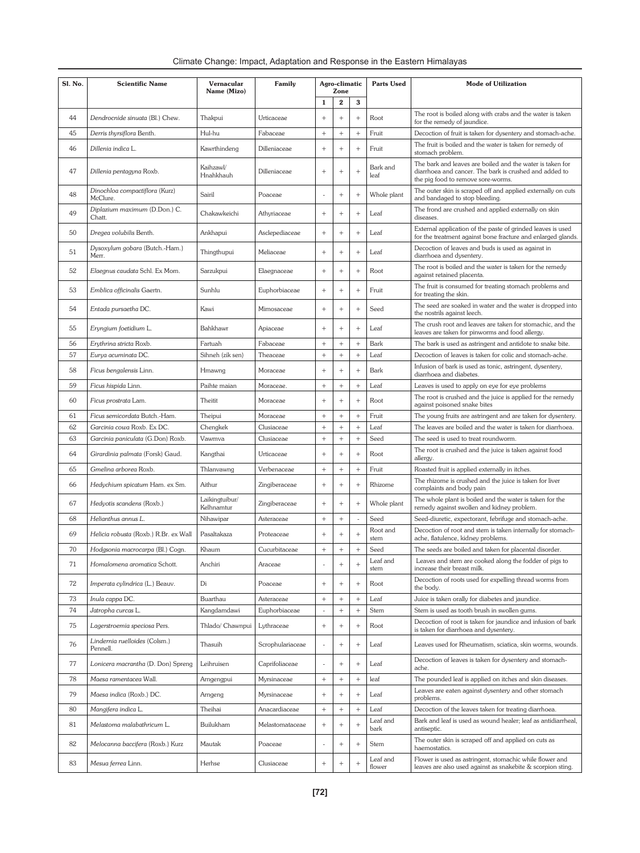| Climate Change: Impact, Adaptation and Response in the Eastern Himalayas |  |  |
|--------------------------------------------------------------------------|--|--|
|                                                                          |  |  |

| <b>Sl. No.</b> | <b>Scientific Name</b>                                          | Vernacular<br>Name (Mizo)    | Family                   |                 | Agro-climatic<br>Zone |               | <b>Parts Used</b>  | <b>Mode of Utilization</b>                                                                                                                                |
|----------------|-----------------------------------------------------------------|------------------------------|--------------------------|-----------------|-----------------------|---------------|--------------------|-----------------------------------------------------------------------------------------------------------------------------------------------------------|
|                |                                                                 |                              |                          | $\mathbf{1}$    | $\mathbf 2$           | 3             |                    |                                                                                                                                                           |
| 44             | Dendrocnide sinuata (Bl.) Chew.                                 | Thakpui                      | Urticaceae               | $^{+}$          | $+$                   | $^{+}$        | Root               | The root is boiled along with crabs and the water is taken<br>for the remedy of jaundice.                                                                 |
| 45             | Derris thyrsiflora Benth.                                       | Hul-hu                       | Fabaceae                 | $^{+}$          |                       | $\! +$        | Fruit              | Decoction of fruit is taken for dysentery and stomach-ache.                                                                                               |
| 46             | Dillenia indica L.                                              | Kawrthindeng                 | Dilleniaceae             | $^{+}$          | $^{+}$                | $^{+}$        | Fruit              | The fruit is boiled and the water is taken for remedy of<br>stomach problem.                                                                              |
| 47             | Dillenia pentagyna Roxb.                                        | Kaihzawl/<br>Hnahkhauh       | Dilleniaceae             | $+$             | $^{+}$                | $^{+}$        | Bark and<br>leaf   | The bark and leaves are boiled and the water is taken for<br>diarrhoea and cancer. The bark is crushed and added to<br>the pig food to remove sore-worms. |
| 48             | Dinochloa compactiflora (Kurz)<br>McClure.                      | Sairil                       | Poaceae                  |                 | $\! + \!\!\!\!$       | $^{+}$        | Whole plant        | The outer skin is scraped off and applied externally on cuts<br>and bandaged to stop bleeding.                                                            |
| 49             | Diplazium maximum (D.Don.) C.<br>Chatt.                         | Chakawkeichi                 | Athyriaceae              | $^{+}$          | $\! + \!\!\!\!$       | $^{+}$        | Leaf               | The frond are crushed and applied externally on skin<br>diseases.                                                                                         |
| 50             | Dregea volubilis Benth.                                         | Ankhapui                     | Asclepediaceae           | $^{+}$          | $\! + \!\!\!\!$       | $^{+}$        | Leaf               | External application of the paste of grinded leaves is used<br>for the treatment against bone fracture and enlarged glands.                               |
| 51             | Dysoxylum gobara (Butch.-Ham.)<br>Merr.                         | Thingthupui                  | Meliaceae                | $^{+}$          | $\! + \!\!\!\!$       | $^{+}$        | Leaf               | Decoction of leaves and buds is used as against in<br>diarrhoea and dysentery.                                                                            |
| 52             | Elaegnus caudata Schl. Ex Mom.                                  | Sarzukpui                    | Elaegnaceae              | $^{+}$          | $\! + \!\!\!\!$       | $^{+}$        | Root               | The root is boiled and the water is taken for the remedy<br>against retained placenta.                                                                    |
| 53             | Emblica officinalis Gaertn.                                     | Sunhlu                       | Euphorbiaceae            | $^{+}$          | $^{+}$                | $^{+}$        | Fruit              | The fruit is consumed for treating stomach problems and<br>for treating the skin.                                                                         |
| 54             | Entada pursaetha DC.                                            | Kawi                         | Mimosaceae               | $^{+}$          | $^{+}$                | $^{+}$        | Seed               | The seed are soaked in water and the water is dropped into<br>the nostrils against leech.                                                                 |
| 55             | Eryngium foetidium L.                                           | Bahkhawr                     | Apiaceae                 | $^{+}$          | $^{+}$                | $^{+}$        | Leaf               | The crush root and leaves are taken for stomachic, and the<br>leaves are taken for pinworms and food allergy.                                             |
| 56             | Ervthrina stricta Roxb.                                         | Fartuah                      | Fabaceae                 |                 | $+$                   | $^{+}$        | Bark               | The bark is used as astringent and antidote to snake bite.                                                                                                |
| 57             | Eurya acuminata DC.                                             | Sihneh (zik sen)             | Theaceae                 | $^{+}$          | $^{+}$                | $+$           | Leaf               | Decoction of leaves is taken for colic and stomach-ache.                                                                                                  |
| 58             | Ficus bengalensis Linn.                                         | Hmawng                       | Moraceae                 | $^{+}$          | $^{+}$                | $^{+}$        | Bark               | Infusion of bark is used as tonic, astringent, dysentery,<br>diarrhoea and diabetes.                                                                      |
| 59             | Ficus hispida Linn.                                             | Paihte maian                 | Moraceae.                | $^{+}$          |                       | $^{+}$        | Leaf               | Leaves is used to apply on eye for eye problems                                                                                                           |
| 60             | Ficus prostrata Lam.                                            | Theitit                      | Moraceae                 | $^{+}$          | $+$                   | $^{+}$        | Root               | The root is crushed and the juice is applied for the remedy<br>against poisoned snake bites                                                               |
| 61             | Ficus semicordata Butch.-Ham.                                   | Theipui                      | Moraceae                 |                 | $\! +$                | $^{+}$        | Fruit              | The young fruits are astringent and are taken for dysentery.                                                                                              |
| 62<br>63       | Garcinia cowa Roxb. Ex DC.<br>Garcinia paniculata (G.Don) Roxb. | Chengkek<br>Vawmva           | Clusiaceae<br>Clusiaceae | $^{+}$          | $\! +$<br>$\! +$      | $^{+}$<br>$+$ | Leaf<br>Seed       | The leaves are boiled and the water is taken for diarrhoea.<br>The seed is used to treat roundworm.                                                       |
| 64             | Girardinia palmata (Forsk) Gaud.                                | Kangthai                     | Urticaceae               | $^{+}$          | $+$                   | $^{+}$        | Root               | The root is crushed and the juice is taken against food<br>allergy.                                                                                       |
| 65             | Gmelina arborea Roxb.                                           | Thlanvawng                   | Verbenaceae              | $^{+}$          |                       | $\! +$        | Fruit              | Roasted fruit is applied externally in itches.                                                                                                            |
| 66             | Hedychium spicatum Ham. ex Sm.                                  | Aithur                       | Zingiberaceae            | $^{+}$          | $^{+}$                | $^{+}$        | Rhizome            | The rhizome is crushed and the juice is taken for liver<br>complaints and body pain                                                                       |
| 67             | Hedyotis scandens (Roxb.)                                       | Laikingtuibur/<br>Kelhnamtur | Zingiberaceae            | $^{+}$          | $\! + \!\!\!\!$       | $^{+}$        | Whole plant        | The whole plant is boiled and the water is taken for the<br>remedy against swollen and kidney problem.                                                    |
| 68             | Helianthus annus L.                                             | Nihawipar                    | Asteraceae               |                 | $\! + \!\!\!\!$       |               | Seed               | Seed-diuretic, expectorant, febrifuge and stomach-ache.                                                                                                   |
| 69             | Helicia robusta (Roxb.) R.Br. ex Wall                           | Pasaltakaza                  | Proteaceae               | $\! +$          | $+$                   | $^{+}$        | Root and<br>stem   | Decoction of root and stem is taken internally for stomach-<br>ache, flatulence, kidney problems.                                                         |
| 70             | Hodgsonia macrocarpa (Bl.) Cogn.                                | Khaum                        | Cucurbitaceae            | $^{+}$          | $\ddot{}$             | $^{+}$        | Seed               | The seeds are boiled and taken for placental disorder.                                                                                                    |
| 71             | Homalomena aromatica Schott.                                    | Anchiri                      | Araceae                  |                 | $\! + \!\!\!\!$       | $^{+}$        | Leaf and<br>stem   | Leaves and stem are cooked along the fodder of pigs to<br>increase their breast milk.                                                                     |
| 72             | Imperata cylindrica (L.) Beauv.                                 | Di                           | Poaceae                  | $^{+}$          | $+$                   | $\! +$        | Root               | Decoction of roots used for expelling thread worms from<br>the body.                                                                                      |
| 73             | Inula cappa DC.                                                 | Buarthau                     | Asteraceae               | $+$             | $^{+}$                | $^{+}$        | Leaf               | Juice is taken orally for diabetes and jaundice.                                                                                                          |
| 74             | Jatropha curcas L.                                              | Kangdamdawi                  | Euphorbiaceae            |                 | $^{+}$                |               | Stem               | Stem is used as tooth brush in swollen gums.                                                                                                              |
| 75             | Lagerstroemia speciosa Pers.                                    | Thlado/ Chawnpui             | Lythraceae               | $^{+}$          | $\! + \!\!\!\!$       | $^{+}$        | Root               | Decoction of root is taken for jaundice and infusion of bark<br>is taken for diarrhoea and dysentery.                                                     |
| 76             | Lindernia ruelloides (Colsm.)<br>Pennell.                       | Thasuih                      | Scrophulariaceae         |                 | $\! + \!\!\!\!$       | $\! +$        | Leaf               | Leaves used for Rheumatism, sciatica, skin worms, wounds.                                                                                                 |
| 77             | Lonicera macrantha (D. Don) Spreng                              | Leihruisen                   | Caprifoliaceae           |                 | $+$                   | $^{+}$        | Leaf               | Decoction of leaves is taken for dysentery and stomach-<br>ache.                                                                                          |
| 78             | Maesa ramentacea Wall.                                          | Arngengpui                   | Myrsinaceae              |                 | $\! + \!\!\!\!$       | $^{+}$        | leaf               | The pounded leaf is applied on itches and skin diseases.                                                                                                  |
| 79             | Maesa indica (Roxb.) DC.                                        | Arngeng                      | Myrsinaceae              |                 | $+$                   | $^{+}$        | Leaf               | Leaves are eaten against dysentery and other stomach<br>problems.                                                                                         |
| 80             | Mangifera indica L.                                             | Theihai                      | Anacardiaceae            |                 | $\! + \!\!\!\!$       | $^{+}$        | Leaf               | Decoction of the leaves taken for treating diarrhoea.                                                                                                     |
| 81             | Melastoma malabathricum L.                                      | Builukham                    | Melastomataceae          | $\! + \!\!\!\!$ | $^{+}$                | $^{+}$        | Leaf and<br>bark   | Bark and leaf is used as wound healer; leaf as antidiarrheal,<br>antiseptic.                                                                              |
| 82             | Melocanna baccifera (Roxb.) Kurz                                | Mautak                       | Poaceae                  |                 | $+$                   | $^{+}$        | Stem               | The outer skin is scraped off and applied on cuts as<br>haemostatics.                                                                                     |
| 83             | Mesua ferrea Linn.                                              | Herhse                       | Clusiaceae               |                 |                       |               | Leaf and<br>flower | Flower is used as astringent, stomachic while flower and<br>leaves are also used against as snakebite & scorpion sting.                                   |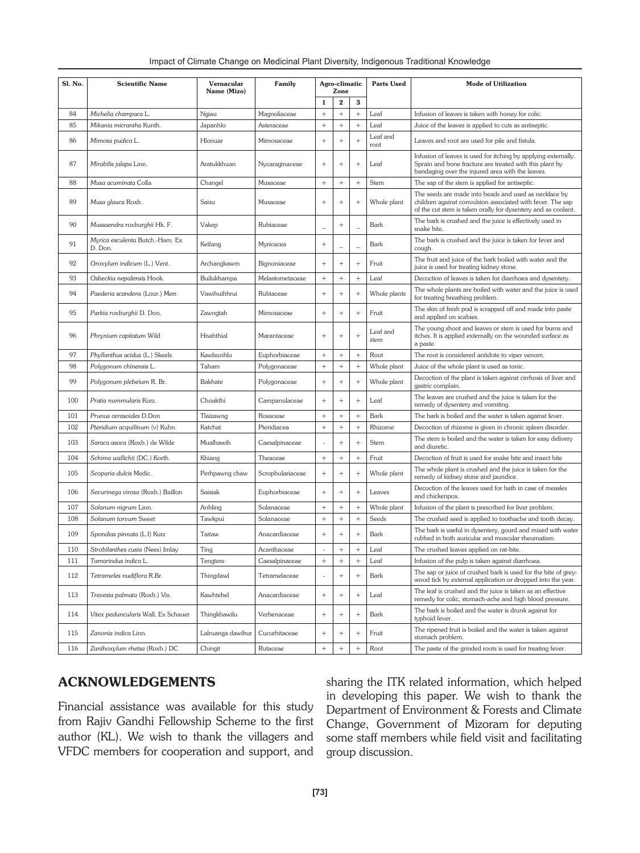| Impact of Climate Change on Medicinal Plant Diversity, Indigenous Traditional Knowledge |  |  |  |
|-----------------------------------------------------------------------------------------|--|--|--|
|                                                                                         |  |  |  |

| <b>Sl. No.</b> | <b>Scientific Name</b>                     | Vernacular<br>Name (Mizo) | Family           |                          | Agro-climatic<br>Zone |                 | <b>Parts Used</b> | <b>Mode of Utilization</b>                                                                                                                                                           |
|----------------|--------------------------------------------|---------------------------|------------------|--------------------------|-----------------------|-----------------|-------------------|--------------------------------------------------------------------------------------------------------------------------------------------------------------------------------------|
|                |                                            |                           |                  | $\mathbf{1}$             | $\bf{2}$              | 3               |                   |                                                                                                                                                                                      |
| 84             | Michelia champaca L.                       | Ngiau                     | Magnoliaceae     |                          | $\! +$                |                 | Leaf              | Infusion of leaves is taken with honey for colic.                                                                                                                                    |
| 85             | Mikania micrantha Kunth.                   | Japanhlo                  | Asteraceae       |                          |                       |                 | Leaf              | Juice of the leaves is applied to cuts as antiseptic.                                                                                                                                |
| 86             | Mimosa pudica L.                           | Hlonuar                   | Mimosaceae       |                          | $^{+}$                | $^{+}$          | Leaf and<br>root  | Leaves and root are used for pile and fistula.                                                                                                                                       |
| 87             | Mirabilis jalapa Linn.                     | Aratukkhuan               | Nycaraginaceae   |                          | $^{+}$                | $\! + \!\!\!\!$ | Leaf              | Infusion of leaves is used for itching by applying externally.<br>Sprain and bone fracture are treated with this plant by<br>bandaging over the injured area with the leaves.        |
| 88             | Musa acuminata Colla                       | Changel                   | Musaceae         |                          |                       |                 | Stem              | The sap of the stem is applied for antiseptic.                                                                                                                                       |
| 89             | Musa glauca Roxb.                          | Saisu                     | Musaceae         | $^{+}$                   | $^{+}$                | $\! + \!\!\!\!$ | Whole plant       | The seeds are made into beads and used as necklace by<br>children against convulsion associated with fever. The sap<br>of the cut stem is taken orally for dysentery and as coolant. |
| 90             | Mussaendra roxburghii Hk. F.               | Vakep                     | Rubiaceae        | $\overline{\phantom{0}}$ | $^{+}$                |                 | Bark              | The bark is crushed and the juice is effectively used in<br>snake bite.                                                                                                              |
| 91             | Myrica esculenta Butch.-Ham. Ex<br>D. Don. | Keifang                   | Myricacea        | $+$                      |                       |                 | Bark              | The bark is crushed and the juice is taken for fever and<br>cough.                                                                                                                   |
| 92             | Oroxylum indicum (L.) Vent.                | Archangkawm               | Bignoniaceae     | $+$                      | $^{+}$                | $\! + \!\!\!\!$ | Fruit             | The fruit and juice of the bark boiled with water and the<br>juice is used for treating kidney stone.                                                                                |
| 93             | Osbeckia nepalensis Hook.                  | Builukhampa               | Melastometaceae  |                          |                       | $^{+}$          | Leaf              | Decoction of leaves is taken for diarrhoea and dysentery.                                                                                                                            |
| 94             | Paederia scandens (Lour.) Merr.            | Vawihuihhrui              | Rubiaceae        | $^{+}$                   | $^{+}$                | $\! + \!\!\!\!$ | Whole plants      | The whole plants are boiled with water and the juice is used<br>for treating breathing problem.                                                                                      |
| 95             | Parkia roxburghii D. Don.                  | Zawngtah                  | Mimosaceae       |                          | $^{+}$                | $\! + \!\!\!\!$ | Fruit             | The skin of fresh pod is scrapped off and made into paste<br>and applied on scabies.                                                                                                 |
| 96             | Phrynium capitatum Wild                    | Hnahthial                 | Marantaceae      | $+$                      | $^{+}$                | $^{+}$          | Leaf and<br>stem  | The young shoot and leaves or stem is used for burns and<br>itches. It is applied externally on the wounded surface as<br>a paste.                                                   |
| 97             | Phyllanthus acidus (L.) Skeels.            | Kawlsunhlu                | Euphorbiaceae    | $^{+}$                   | $^{+}$                |                 | Root              | The root is considered antidote to viper venom.                                                                                                                                      |
| 98             | Polygonum chinensis L.                     | Taham                     | Polygonaceae     |                          |                       |                 | Whole plant       | Juice of the whole plant is used as tonic.                                                                                                                                           |
| 99             | Polygonum plebeium R. Br.                  | Bakhate                   | Polygonaceae     |                          | $^{+}$                | $^{+}$          | Whole plant       | Decoction of the plant is taken against cirrhosis of liver and<br>gastric complain.                                                                                                  |
| 100            | Pratia nummularis Kurz.                    | Choakthi                  | Campanulaceae    | $^{+}$                   | $^{+}$                | $^{+}$          | Leaf              | The leaves are crushed and the juice is taken for the<br>remedy of dysentery and vomiting.                                                                                           |
| 101            | Prunus cerasoides D.Don                    | Tlaizawng                 | Rosaceae         |                          | $^{+}$                | $^{+}$          | Bark              | The bark is boiled and the water is taken against fever.                                                                                                                             |
| 102            | Pteridium acquilinum (v) Kuhn.             | Katchat                   | Pteridiacea      |                          | $^{+}$                | $^{+}$          | Rhizome           | Decoction of rhizome is given in chronic spleen disorder.                                                                                                                            |
| 103            | Saraca asoca (Roxb.) de Wilde              | Mualhawih                 | Caesalpinaceae   |                          | $^{+}$                | $^{+}$          | Stem              | The stem is boiled and the water is taken for easy delivery<br>and diuretic.                                                                                                         |
| 104            | Schima wallichii (DC.) Korth.              | Khiang                    | Theaceae         | $^+$                     |                       |                 | Fruit             | Decoction of fruit is used for snake bite and insect bite                                                                                                                            |
| 105            | Scoparia dulcis Medic.                     | Perhpawng chaw            | Scrophulariaceae | $^{+}$                   | $^{+}$                | $+$             | Whole plant       | The whole plant is crushed and the juice is taken for the<br>remedy of kidney stone and jaundice.                                                                                    |
| 106            | Securinega virosa (Roxb.) Baillon          | Saisiak                   | Euphorbiaceae    | $^{+}$                   | $^{+}$                | $+$             | Leaves            | Decoction of the leaves used for bath in case of measles<br>and chickenpox.                                                                                                          |
| 107            | Solanum nigrum Linn.                       | Anhling                   | Solanaceae       | $^{+}$                   | $^{+}$                |                 | Whole plant       | Infusion of the plant is prescribed for liver problem.                                                                                                                               |
| 108            | Solanum torvum Sweet                       | Tawkpui                   | Solanaceae       |                          |                       | $^{+}$          | Seeds             | The crushed seed is applied to toothache and tooth decay.                                                                                                                            |
| 109            | Spondias pinnata (L.f) Kurz                | Taitaw                    | Anacardiaceae    | $^{+}$                   | $^{+}$                | $^{+}$          | Bark              | The bark is useful in dysentery, gourd and mixed with water<br>rubbed in both auricular and muscular rheumatism.                                                                     |
| 110            | Strobilanthes cusia (Nees) Imlay           | Ting                      | Acanthaceae      | $\overline{a}$           | $^{+}$                | $^{+}$          | Leaf              | The crushed leaves applied on rat-bite.                                                                                                                                              |
| 111            | Tamarindus indica L.                       | Tengtere                  | Caesalpinaceae   | $\, +$                   | $\, +$                | $\, +$          | Leaf              | Infusion of the pulp is taken against diarrhoea.                                                                                                                                     |
| 112            | Tetrameles nudiflora R.Br.                 | Thingdawl                 | Tetramelaceae    |                          | $^{+}$                | $+$             | Bark              | The sap or juice of crushed bark is used for the bite of grey-<br>wood tick by external application or dropped into the year.                                                        |
| 113            | Trevesia palmata (Roxb.) Vis.              | Kawhtebel                 | Anacardiaceae    |                          |                       | $^{+}$          | Leaf              | The leaf is crushed and the juice is taken as an effective<br>remedy for colic, stomach-ache and high blood pressure.                                                                |
| 114            | Vitex peduncularis Wall. Ex Schauer        | Thingkhawilu              | Verbenaceae      | $^+$                     |                       | $\! + \!\!\!\!$ | Bark              | The bark is boiled and the water is drunk against for<br>typhoid fever.                                                                                                              |
| 115            | Zanonia indica Linn.                       | Lalruanga dawibur         | Cucurbitaceae    |                          | $+$                   | $+$             | Fruit             | The ripened fruit is boiled and the water is taken against<br>stomach problem.                                                                                                       |
| 116            | Zanthoxylum rhetsa (Roxb.) DC              | Chingit                   | Rutaceae         | $\overline{+}$           | $^{+}$                |                 | Root              | The paste of the grinded roots is used for treating fever.                                                                                                                           |

## ACKNOWLEDGEMENTS

Financial assistance was available for this study from Rajiv Gandhi Fellowship Scheme to the first author (KL). We wish to thank the villagers and VFDC members for cooperation and support, and

sharing the ITK related information, which helped in developing this paper. We wish to thank the Department of Environment & Forests and Climate Change, Government of Mizoram for deputing some staff members while field visit and facilitating group discussion.